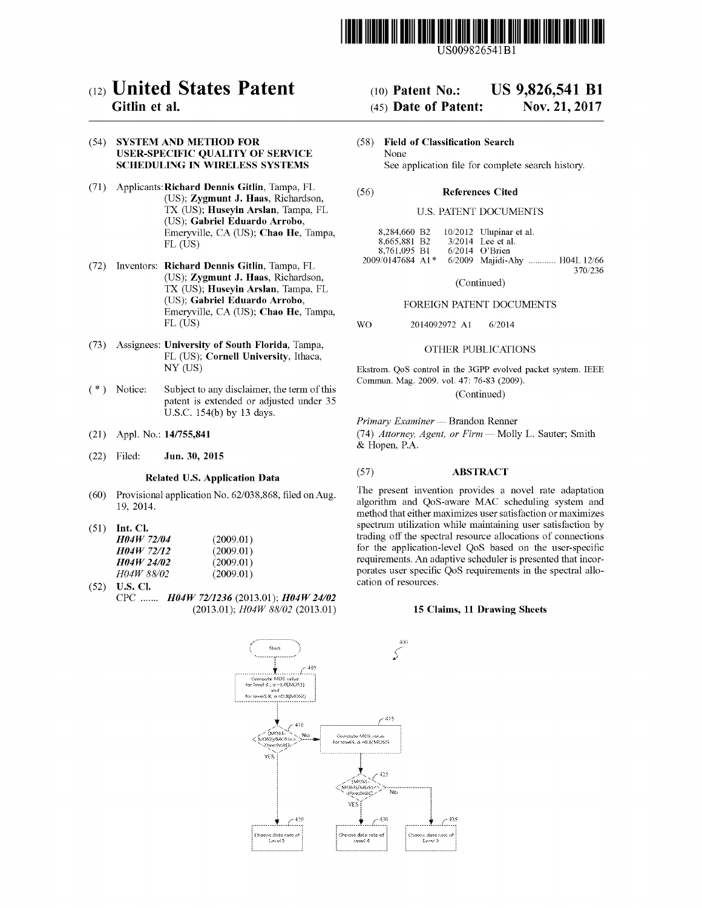

US009826541Bl

## (12) **United States Patent**

### Gitlin et al.

### (54) SYSTEM AND METHOD FOR USER-SPECIFIC QUALITY OF SERVICE SCHEDULING IN WIRELESS SYSTEMS

- (71) Applicants:Richard Dennis Gitlin, Tampa, FL (US); Zygmunt J. Haas, Richardson, TX (US); Huseyin Arslan, Tampa, FL (US); Gabriel Eduardo Arrobo, Emeryville, CA (US); Chao He, Tampa, FL (US)
- (72) Inventors: Richard Dennis Gitlin, Tampa, FL (US); Zygmunt J. Haas, Richardson, TX (US); Huseyin Arslan, Tampa, FL (US); Gabriel Eduardo Arrobo, Emeryville, CA (US); Chao He, Tampa, FL (US)
- (73) Assignees: University of South Florida, Tampa, FL (US); Cornell University, Ithaca, NY (US)
- (\*) Notice: Subject to any disclaimer, the term of this patent is extended or adjusted under 35 U.S.c. 154(b) by 13 days.
- (21) Appl. No.: *141755,841*
- Jun. 30, 2015 (22) Filed:

### Related U.S. Application Data

- (60) Provisional application No. 62/038,868, filed on Aug. 19, 2014.
- (51) Int. Cl.

| <b>H04W 72/04</b> | (2009.01) |
|-------------------|-----------|
| H04W 72/12        | (2009.01) |
| <b>H04W 24/02</b> | (2009.01) |
| <i>HO4W 88/02</i> | (2009.01) |

(52) U.S. Cl. CPC *H04W* 72/1236 (2013.01); *H04W 24/02 (2013.01); H04W 88/02 (2013.01)*

#### (10) Patent No.: US 9,826,541 **Bl**

#### (45) Date of Patent: Nov. 21, 2017

(58) Field of Classification Search None See application file for complete search history.

#### (56) References Cited

### U.S. PATENT DOCUMENTS

| 8,284,660 B <sub>2</sub>       |  | $10/2012$ Ulupinar et al. |                               |
|--------------------------------|--|---------------------------|-------------------------------|
| 8.665.881 B2                   |  | 3/2014 Lee et al.         |                               |
| 8.761.095 B1                   |  | $6/2014$ O'Brien          |                               |
| $2009/0147684$ A1 <sup>*</sup> |  |                           | 6/2009 Majidi-Ahy  H04L 12/66 |
|                                |  |                           | 370/236                       |

(Continued)

### FOREIGN PATENT DOCUMENTS

2014092972 Al WO 6/2014

### OTHER PUBLICATIONS

Ekstrom. QoS control in the 3GPP evolved packet system. IEEE Commun. Mag. 2009. vol. 47: 76-83 (2009). (Continued)

*Primary Examiner* - Brandon Renner

*(74) Attorney, Agent, or Firm* - Molly L. Sauter; Smith & Hopen, P.A.

### (57) ABSTRACT

The present invention provides a novel rate adaptation algorithm and QoS-aware MAC scheduling system and method that either maximizes user satisfaction or maximizes spectrum utilization while maintaining user satisfaction by trading off the spectral resource allocations of connections for the application-level QoS based on the user-specific requirements. An adaptive scheduler is presented that incorporates user specific QoS requirements in the spectral allocation of resources.

### 15 Claims, 11 Drawing Sheets

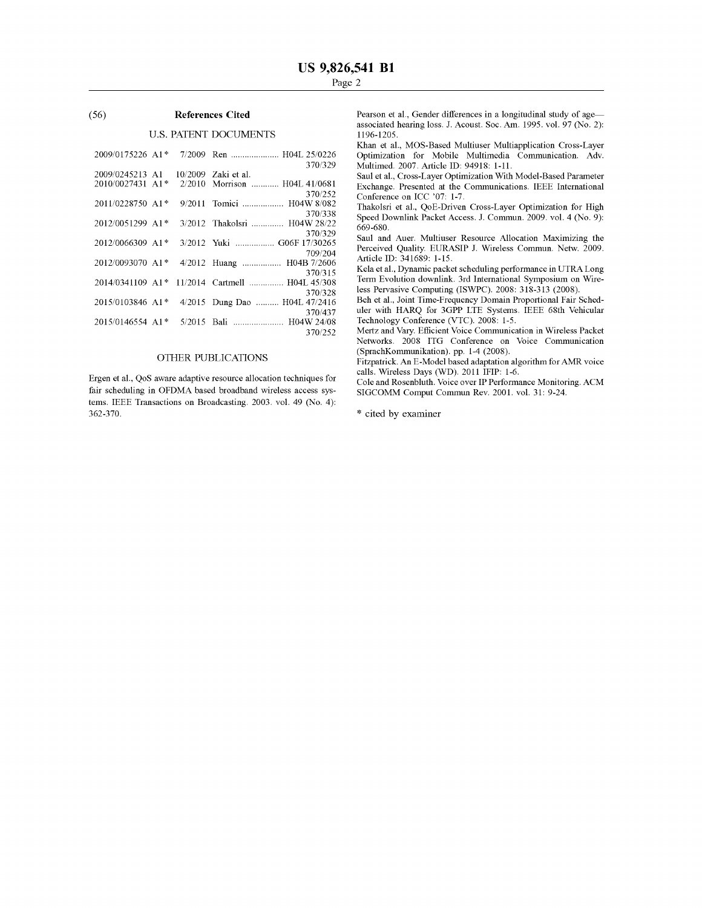### (56) **References Cited**

### U.S. PATENT DOCUMENTS

|                  |  | 370/329                                        |
|------------------|--|------------------------------------------------|
|                  |  | 2009/0245213 A1 10/2009 Zaki et al.            |
|                  |  | 2010/0027431 A1* 2/2010 Morrison  H04L 41/0681 |
|                  |  | 370/252                                        |
|                  |  | 2011/0228750 A1* 9/2011 Tomici  H04W 8/082     |
|                  |  | 370/338                                        |
| 2012/0051299 A1* |  | 3/2012 Thakolsri  H04W 28/22<br>370/329        |
| 2012/0066309 A1* |  | 3/2012 Yuki  G06F 17/30265                     |
|                  |  | 709/204                                        |
|                  |  | 2012/0093070 A1* 4/2012 Huang  H04B 7/2606     |
|                  |  | 370/315                                        |
|                  |  | 2014/0341109 A1* 11/2014 Cartmell  H04L 45/308 |
|                  |  | 370/328                                        |
|                  |  | 2015/0103846 A1* 4/2015 Dung Dao  H04L 47/2416 |
|                  |  | 370/437                                        |
|                  |  |                                                |
|                  |  | 370/252                                        |

### OTHER PUBLICATIONS

Ergen et aI., QoS aware adaptive resource allocation techniques for fair scheduling in OFDMA based broadband wireless access systems. IEEE Transactions on Broadcasting. 2003. vol. 49 (No.4): 362-370.

Pearson et al., Gender differences in a longitudinal study of ageassociated hearing loss. J. Acoust. Soc. Am. 1995. vol. 97 (No.2): 1196-1205.

Khan et aI., MOS-Based Multiuser Multiapplication Cross-Layer Optimization for Mobile Multimedia Communication. Adv. Multimed. 2007. Article ID: 94918: 1-11.

Saul et aI., Cross-Layer Optimization With Model-Based Parameter Exchange. Presented at the Communications. IEEE International Conference on ICC '07: 1-7.

Thakolsri et aI., QoE-Driven Cross-Layer Optimization for High Speed Downlink Packet Access. J. Commun. 2009. vol. 4 (No.9): 669-680.

Saul and Auer. Multiuser Resource Allocation Maximizing the Perceived Quality. EURASIP J. Wireless Commun. Netw. 2009. Article ID: 341689: 1-15.

Kela et aI., Dynamic packet scheduling performance in UTRA Long Term Evolution downlink. 3rd International Symposium on Wireless Pervasive Computing (ISWPC). 2008: 318-313 (2008).

Beh et al., Joint Time-Frequency Domain Proportional Fair Scheduler with HARQ for 3GPP LTE Systems. IEEE 68th Vehicular Technology Conference (VTC). 2008: 1-5.

Mertz and Vary. Efficient Voice Communication in Wireless Packet Networks. 2008 ITG Conference on Voice Communication (SprachKommunikation). pp. 1-4 (2008).

Fitzpatrick. An E-Model based adaptation algorithm for AMR voice calls. Wireless Days (WD). 2011 IFIP: 1-6.

Cole and Rosenbluth. Voice over IP Performance Monitoring. ACM SIGCOMM Comput Commun Rev. 2001. vol. 31: 9-24.

\* cited by examiner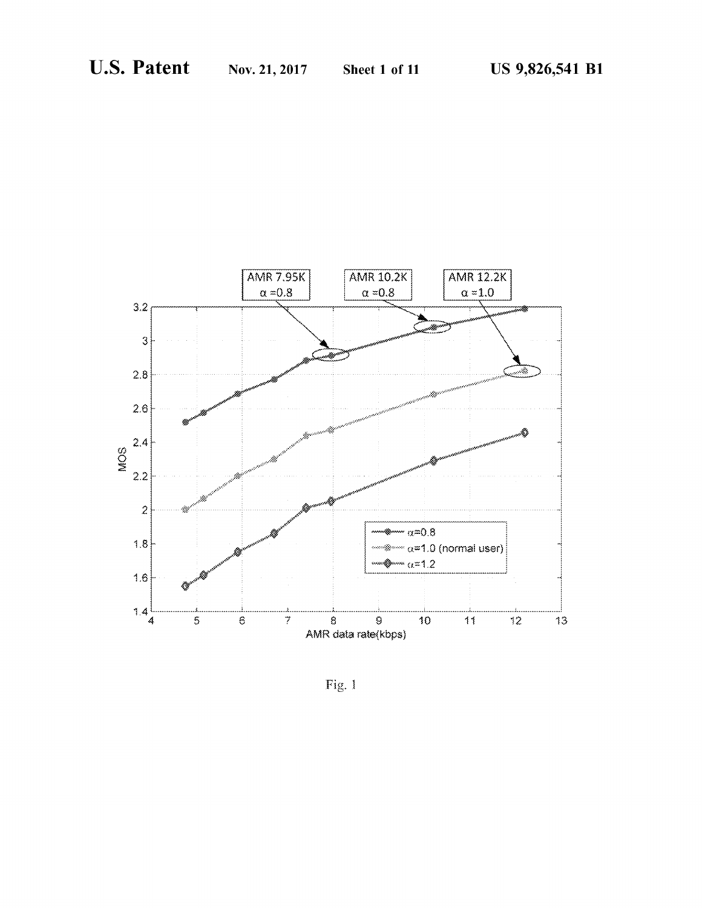

Fig. 1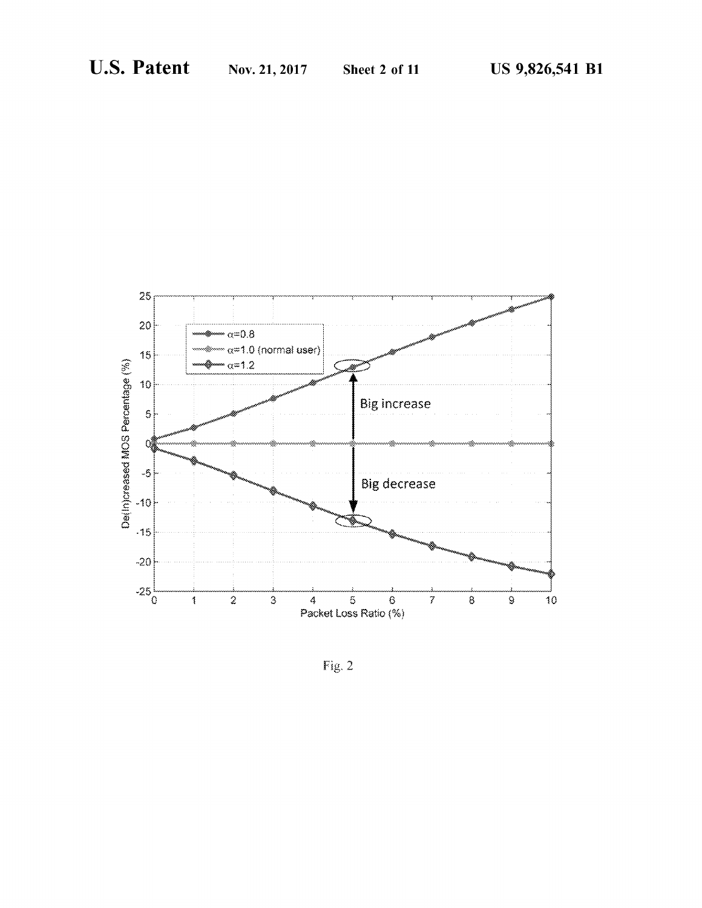

Fig. 2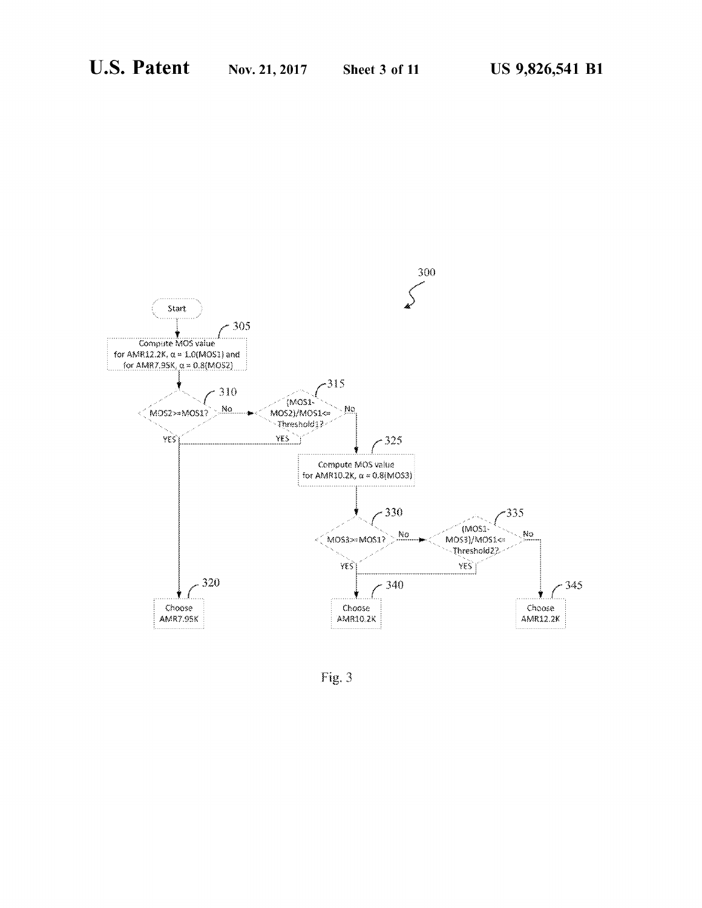

Fig. 3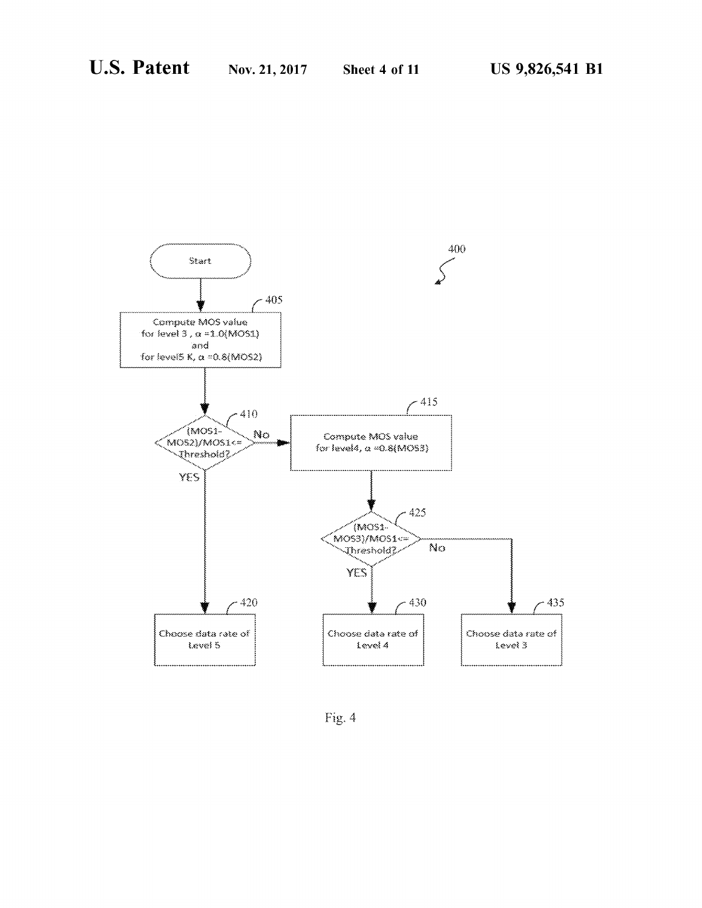

Fig. 4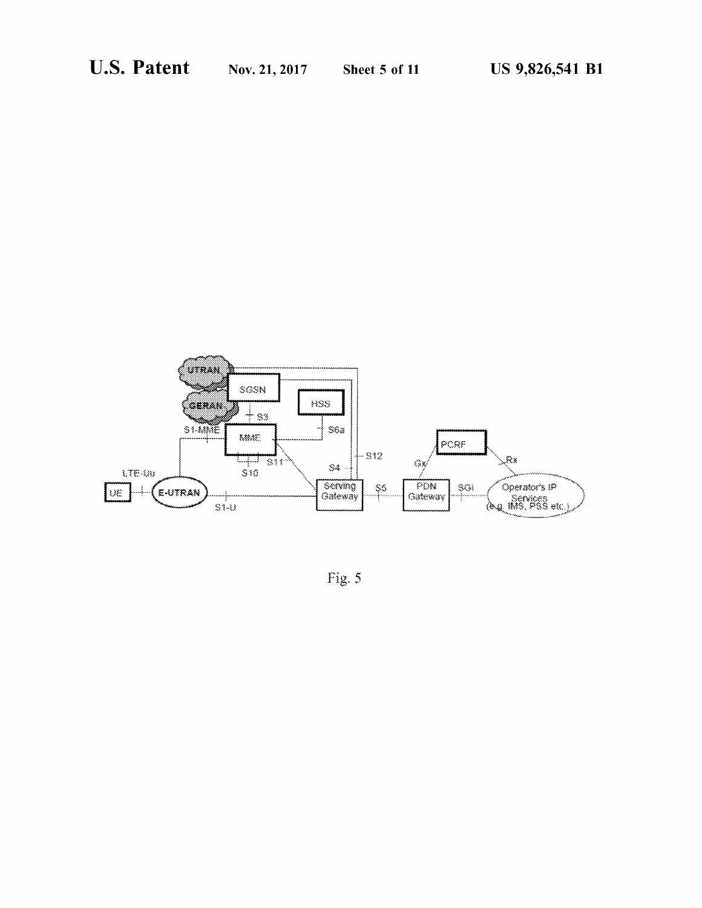

Fig. 5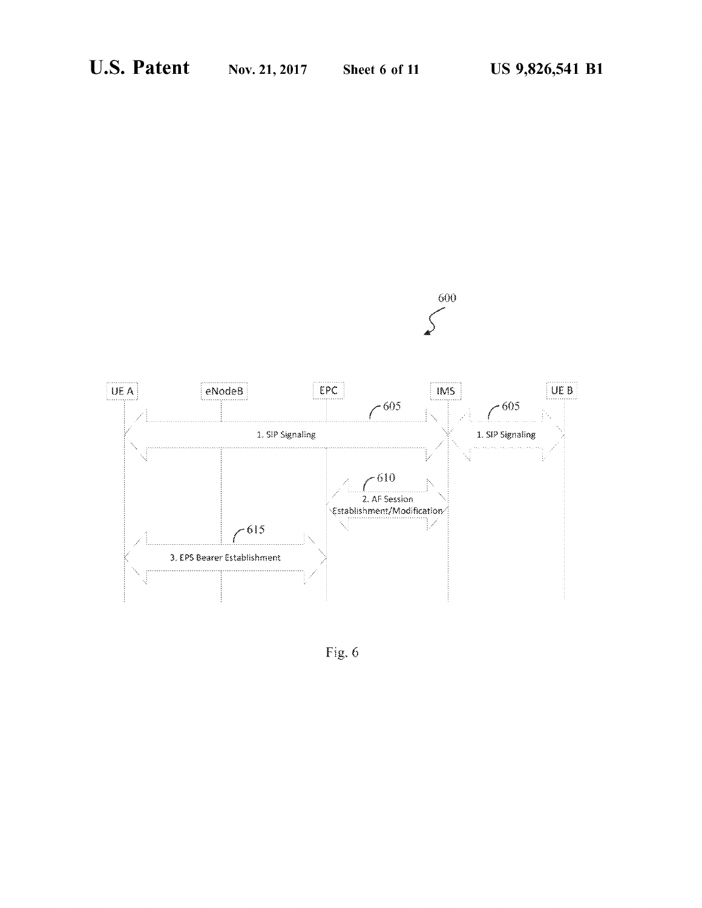

Fig. 6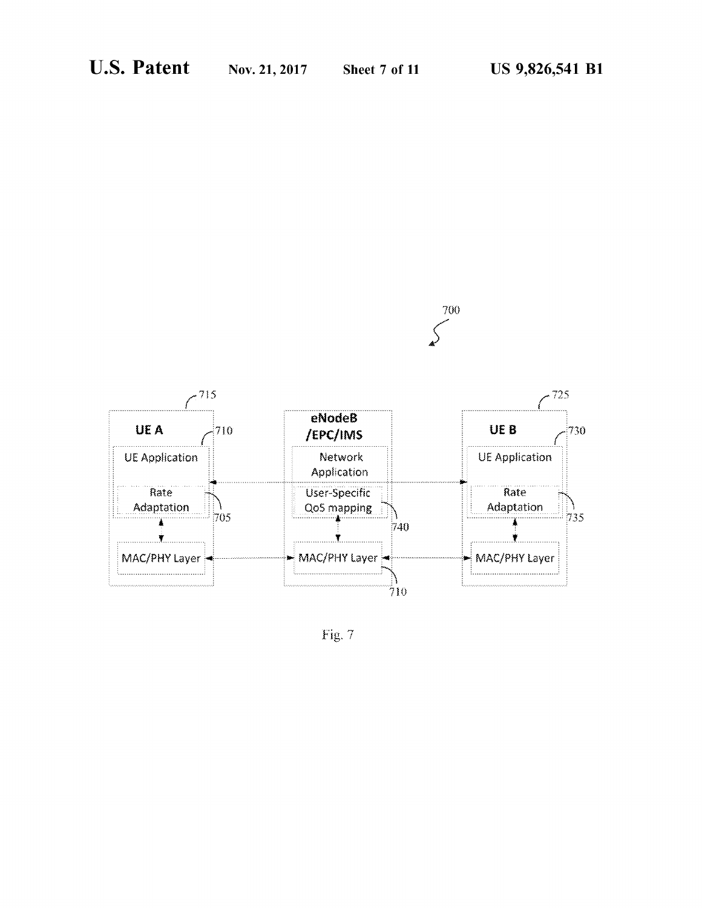

Fig.  $\rm 7$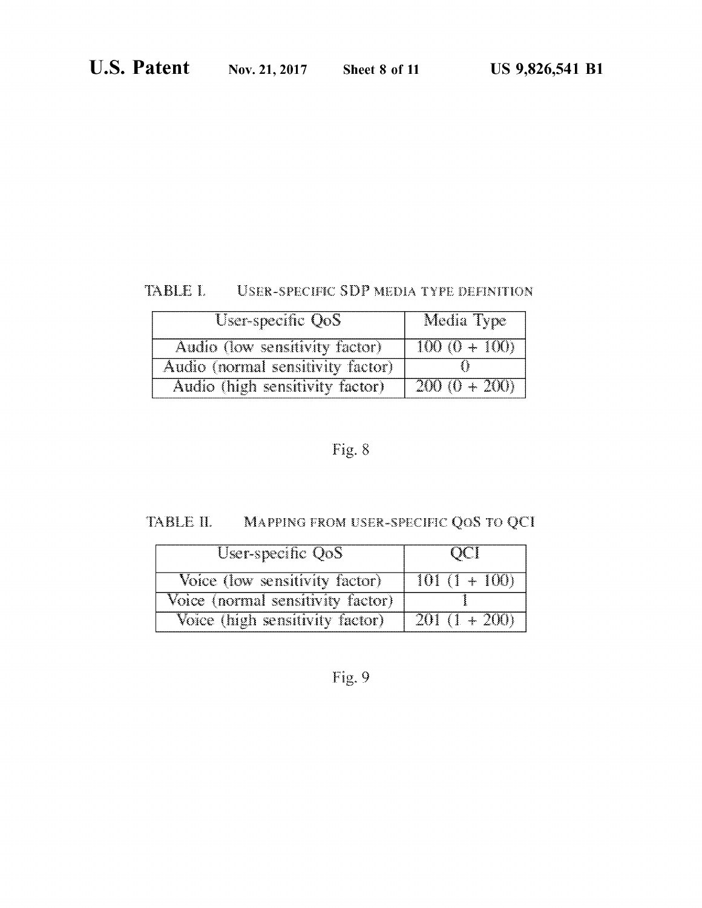## TABLE L USER-SPECIFIC SDP MEDIA TYPE DEFINITION

| User-specific QoS                 | Media Type      |
|-----------------------------------|-----------------|
| Audio (low sensitivity factor)    | $100 (0 + 100)$ |
| Audio (normal sensitivity factor) |                 |
| Audio (high sensitivity factor)   | $200 (0 + 200)$ |

# Fig. 8

# TABLE II. MAPPING FROM USER-SPECIFIC QOS TO QCI

| User-specific QoS                 | $\alpha$       |
|-----------------------------------|----------------|
| Voice (low sensitivity factor)    | $101(1+100)$   |
| Voice (normal sensitivity factor) |                |
| Voice (high sensitivity factor)   | $201(1 + 200)$ |

# Fig. 9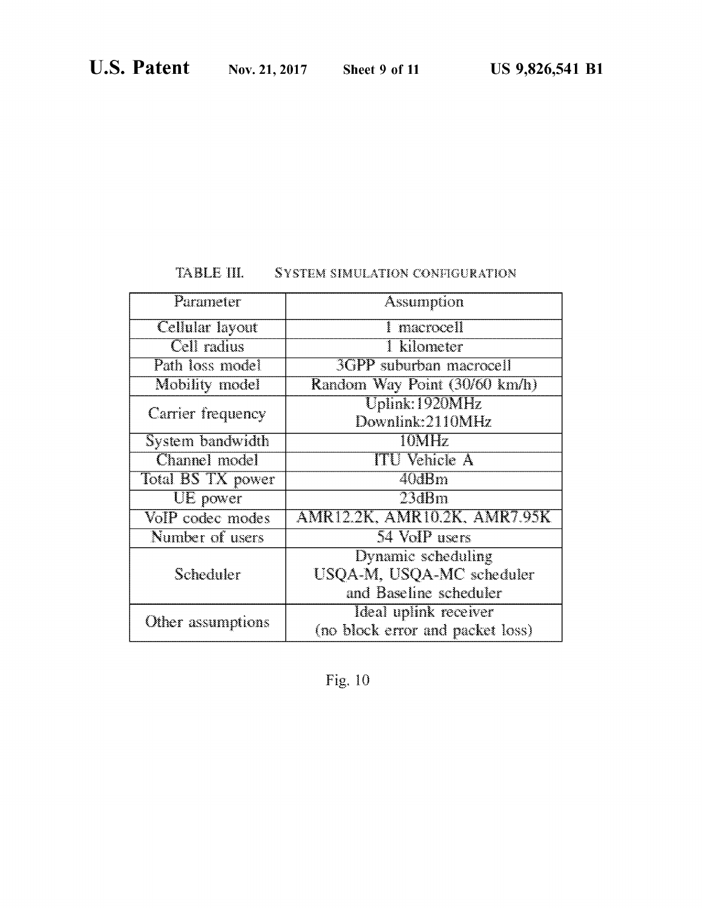### TABLE III. SYSTEM SIMULATION CONFIGURATION

| Parameter         | Assumption                                                |  |
|-------------------|-----------------------------------------------------------|--|
| Cellular layout   | 1 macrocell                                               |  |
| Cell radius       | <b>I</b> kilometer                                        |  |
| Path loss model   | <b>3GPP</b> suburban macrocell                            |  |
| Mobility model    | Random Way Point (30/60 km/h)                             |  |
|                   | $\overline{\text{Uplink}}$ : 1920 $\overline{\text{MHz}}$ |  |
| Carrier frequency | Downlink:2110MHz                                          |  |
| System bandwidth  | 10MHz                                                     |  |
| Channel model     | <b>ITU</b> Vehicle A                                      |  |
| Total BS TX power | 40dBm                                                     |  |
| UE power          | 23dBm                                                     |  |
| VoIP codec modes  | AMR12.2K, AMR10.2K, AMR7.95K                              |  |
| Number of users   | 54 VoIP users                                             |  |
|                   | Dynamic scheduling                                        |  |
| Scheduler         | USQA-M, USQA-MC scheduler                                 |  |
|                   | and Baseline scheduler                                    |  |
| Other assumptions | Ideal uplink receiver                                     |  |
|                   | (no block error and packet loss)                          |  |

Fig. 10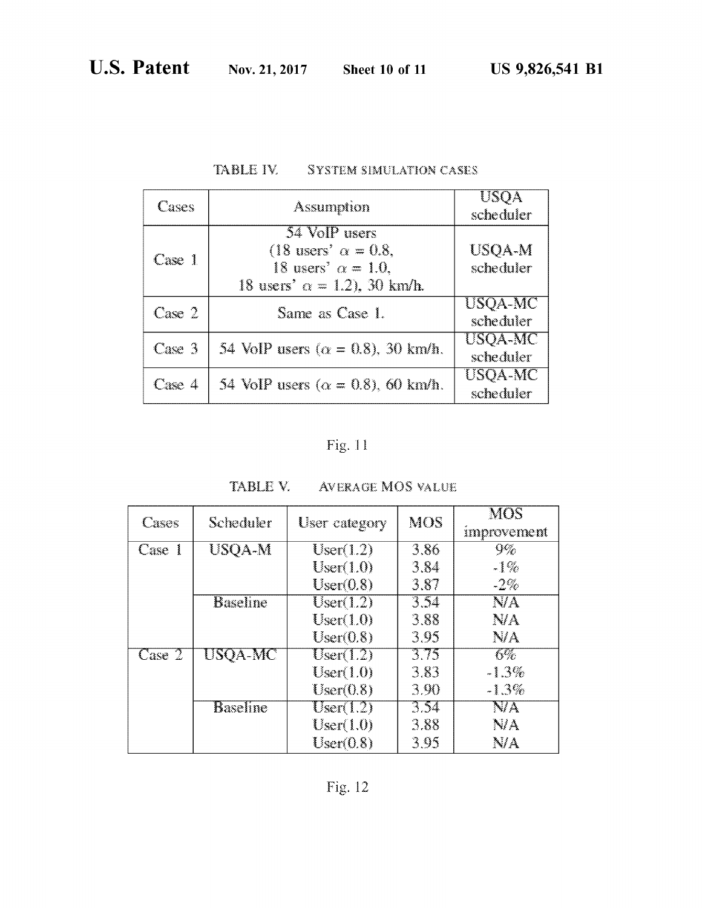| Cases  | Assumption                                                                                                         | USQA<br>scheduler    |
|--------|--------------------------------------------------------------------------------------------------------------------|----------------------|
| Case 1 | 54 VoIP users<br>(18 users' $\alpha = 0.8$ ,<br>18 users' $\alpha = 1.0$ .<br>18 users' $\alpha = 1.2$ ), 30 km/h. | USQA-M<br>scheduler  |
| Case 2 | Same as Case 1.                                                                                                    | USQA-MC<br>scheduler |
| Case 3 | 54 VoIP users ( $\alpha = 0.8$ ), 30 km/h.                                                                         | USQA-MC<br>scheduler |
| Case 4 | 54 VoIP users ( $\alpha = 0.8$ ), 60 km/h.                                                                         | USQA-MC<br>scheduler |

### TABLE IV. SYSTEM SIMULATION CASES

# Fig. 11

| Cases  | Scheduler       | User category        | MOS  | MOS<br>improvement |
|--------|-----------------|----------------------|------|--------------------|
| Case 1 | USQA-M          | User(1.2)            | 3.86 | 9%                 |
|        |                 | User(1.0)            | 3.84 | $-1\%$             |
|        |                 | User(0.8)            | 3.87 | $-2\%$             |
|        | <b>Baseline</b> | User(1.2)            | 3.54 | NA.                |
|        |                 | User(1.0)            | 3.88 | NA.                |
|        |                 | User(0.8)            | 3.95 | NA.                |
| Case 2 | USQA-MC         | $\mathrm{User}(1.2)$ | 3.75 | 6%                 |
|        |                 | $\mathrm{User}(1.0)$ | 3.83 | $-1.3%$            |
|        |                 | User(0.8)            | 3.90 | $-1.3\%$           |
|        | <b>Baseline</b> | $\text{User}(1.2)$   | 3.54 | NA                 |
|        |                 | $\text{User}(1.0)$   | 3.88 | NA                 |
|        |                 | User(0.8)            | 3.95 | NA                 |

### TABLE V. AVERAGE MOS VALUE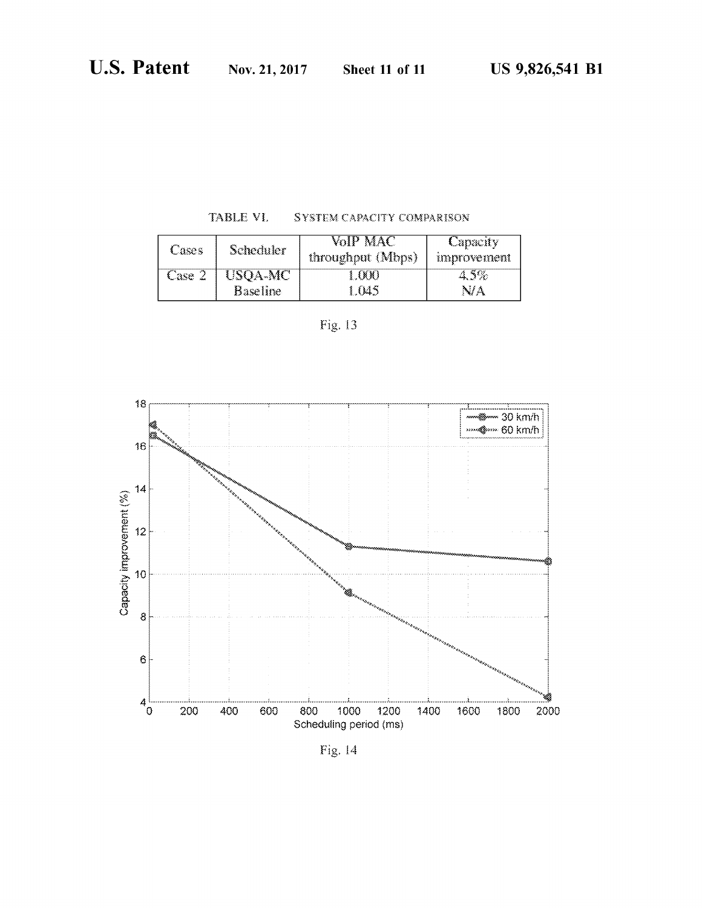| TABLE VI.<br>SYSTEM CAPACITY COMPARISON |  |  |  |  |  |
|-----------------------------------------|--|--|--|--|--|
|-----------------------------------------|--|--|--|--|--|

| Cases  | Scheduler       | VoIP MAC<br>throughput (Mbps) | Capacity<br>unprovement |
|--------|-----------------|-------------------------------|-------------------------|
| Case 2 | USQA-MC         | - 000 -                       | 4.5%                    |
|        | <b>Baseline</b> | 1.045                         | NA                      |

| . . |
|-----|



Fig. 14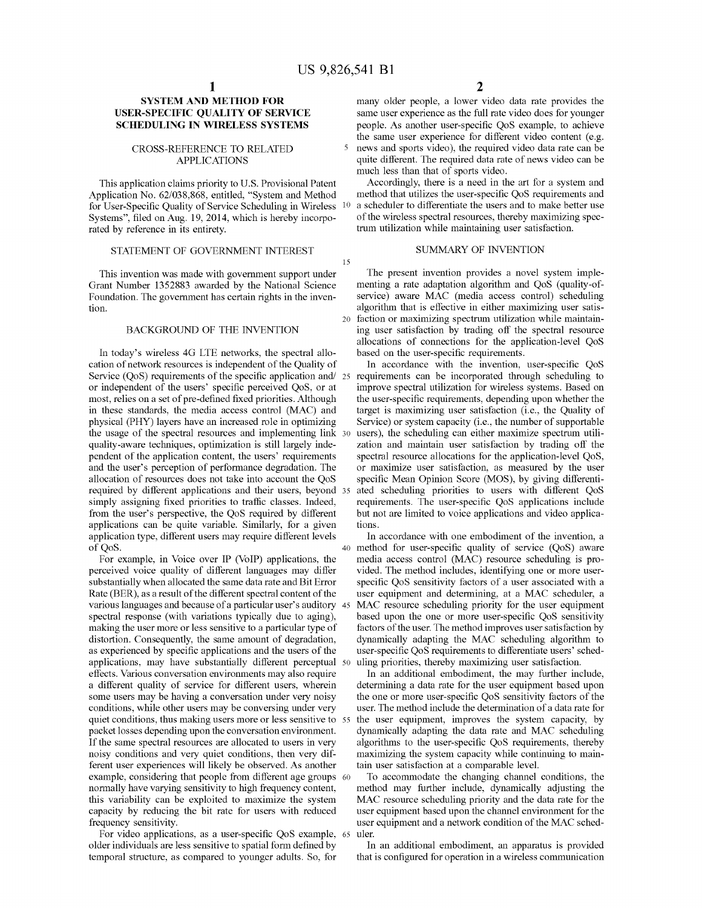5

15

### **SYSTEM AND METHOD FOR USER-SPECIFIC QUALITY OF SERVICE SCHEDULING IN WIRELESS SYSTEMS**

### CROSS-REFERENCE TO RELATED APPLICATIONS

This application claims priority to U.S. Provisional Patent Application No. 62/038,868, entitled, "System and Method for User-Specific Quality of Service Scheduling in Wireless Systems", filed on Aug. 19,2014, which is hereby incorporated by reference in its entirety.

### STATEMENT OF GOVERNMENT INTEREST SUMMARY OF INVENTION

This invention was made with govemment support under Grant Number 1352883 awarded by the National Science Foundation. The govemment has certain rights in the invention.

### BACKGROUND OF THE INVENTION

In today's wireless 4G LTE networks, the spectral allocation of network resources is independent of the Quality of Service  $(OoS)$  requirements of the specific application and  $/25$ or independent of the users' specific perceived QoS, or at most, relies on a set of pre-defined fixed priorities. Although in these standards, the media access control (MAC) and physical (PHY) layers have an increased role in optimizing the usage of the spectral resources and implementing link quality-aware techniques, optimization is still largely independent of the application content, the users' requirements and the user's perception of performance degradation. The allocation of resources does not take into account the QoS required by different applications and their users, beyond 35 simply assigning fixed priorities to traffic classes. Indeed, from the user's perspective, the QoS required by different applications can be quite variable. Similarly, for a given application type, different users may require different levels of QoS.

For example, in Voice over IP (VoIP) applications, the perceived voice quality of different languages may differ substantially when allocated the same data rate and Bit Error Rate (BER), as a result of the different spectral content of the various languages and because of a particular user's auditory spectral response (with variations typically due to aging), making the user more or less sensitive to a particular type of distortion. Consequently, the same amount of degradation, as experienced by specific applications and the users of the applications, may have substantially different perceptual 50 effects. Various conversation environments may also require a different quality of service for different users, wherein some users may be having a conversation under very noisy conditions, while other users may be conversing under very quiet conditions, thus making users more or less sensitive to 55 packet losses depending upon the conversation environment. If the same spectral resources are allocated to users in very noisy conditions and very quiet conditions, then very different user experiences will likely be observed. As another example, considering that people from different age groups 60 normally have varying sensitivity to high frequency content, this variability can be exploited to maximize the system capacity by reducing the bit rate for users with reduced frequency sensitivity.

For video applications, as a user-specific QoS example, 65 older individuals are less sensitive to spatial form defined by temporal structure, as compared to younger adults. So, for

many older people, a lower video data rate provides the same user experience as the full rate video does for younger people. As another user-specific QoS example, to achieve the same user experience for different video content (e.g. news and sports video), the required video data rate can be quite different. The required data rate of news video can be much less than that of sports video.

Accordingly, there is a need in the art for a system and method that utilizes the user-specific QoS requirements and a scheduler to differentiate the users and to make better use of the wireless spectral resources, thereby maximizing spectrum utilization while maintaining user satisfaction.

The present invention provides a novel system implementing a rate adaptation algorithm and QoS (quality-ofservice) aware MAC (media access control) scheduling algorithm that is effective in either maximizing user satis-20 faction or maximizing spectrum utilization while maintaining user satisfaction by trading off the spectral resource allocations of connections for the application-level QoS based on the user-specific requirements.

In accordance with the invention, user-specific QoS requirements can be incorporated through scheduling to improve spectral utilization for wireless systems. Based on the user-specific requirements, depending upon whether the target is maximizing user satisfaction (i.e., the Quality of Service) or system capacity (i.e., the number of supportable users), the scheduling can either maximize spectrum utilization and maintain user satisfaction by trading off the spectral resource allocations for the application-level QoS, or maximize user satisfaction, as measured by the user specific Mean Opinion Score (MOS), by giving differentiated scheduling priorities to users with different QoS requirements. The user-specific QoS applications include but not are limited to voice applications and video applications.

In accordance with one embodiment of the invention, a 40 method for user-specific quality of service (QoS) aware media access control (MAC) resource scheduling is provided. The method includes, identifying one or more userspecific QoS sensitivity factors of a user associated with a user equipment and determining, at a MAC scheduler, a MAC resource scheduling priority for the user equipment based upon the one or more user-specific QoS sensitivity factors of the user. The method improves user satisfaction by dynamically adapting the MAC scheduling algorithm to user-specific QoS requirements to differentiate users' scheduling priorities, thereby maximizing user satisfaction.

In an additional embodiment, the may further include, determining a data rate for the user equipment based upon the one or more user-specific QoS sensitivity factors of the user. The method include the determination of a data rate for the user equipment, improves the system capacity, by dynamically adapting the data rate and MAC scheduling algorithms to the user-specific QoS requirements, thereby maximizing the system capacity while continuing to maintain user satisfaction at a comparable level.

To accommodate the changing channel conditions, the method may further include, dynamically adjusting the MAC resource scheduling priority and the data rate for the user equipment based upon the channel environment for the user equipment and a network condition of the MAC scheduler.

In an additional embodiment, an apparatus is provided that is configured for operation in a wireless communication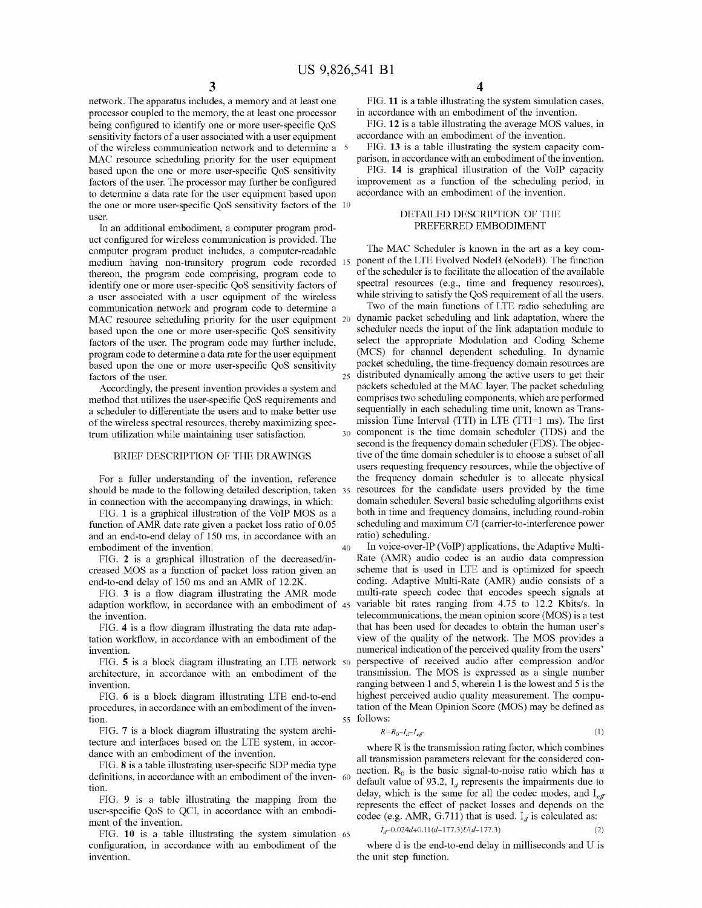40

network. The apparatus includes, a memory and at least one processor coupled to the memory, the at least one processor being configured to identify one or more user-specific QoS sensitivity factors of a user associated with a user equipment of the wireless communication network and to determine a MAC resource scheduling priority for the user equipment based upon the one or more user-specific QoS sensitivity factors of the user. The processor may further be configured to determine a data rate for the user equipment based upon the one or more user-specific QoS sensitivity factors of the <sup>10</sup> user.

In an additional embodiment, a computer program product configured for wireless communication is provided. The computer program product includes, a computer-readable medium having non-transitory program code recorded 15 thereon, the program code comprising, program code to identify one or more user-specific QoS sensitivity factors of a user associated with a user equipment of the wireless communication network and program code to determine a MAC resource scheduling priority for the user equipment 20 based upon the one or more user-specific QoS sensitivity factors of the user. The program code may further include, program code to determine a data rate for the user equipment based upon the one or more user-specific QoS sensitivity factors of the user.

Accordingly, the present invention provides a system and method that utilizes the user-specific QoS requirements and a scheduler to differentiate the users and to make better use of the wireless spectral resources, thereby maximizing spectrum utilization while maintaining user satisfaction.

BRIEF DESCRIPTION OF THE DRAWINGS

For a fuller understanding of the invention, reference should be made to the following detailed description, taken 35 in connection with the accompanying drawings, in which:

FIG. 1 is a graphical illustration of the VoIP MOS as a function of AMR date rate given a packet loss ratio of 0.05 and an end-to-end delay of ISO ms, in accordance with an embodiment of the invention.

FIG. 2 is a graphical illustration of the decreased/increased MOS as a function of packet loss ration given an end-to-end delay of ISO ms and an AMR of 12.2K.

FIG. 3 is a flow diagram illustrating the AMR mode adaption workflow, in accordance with an embodiment of 45 the invention.

FIG. 4 is a flow diagram illustrating the data rate adaptation workflow, in accordance with an embodiment of the invention.

FIG. 5 is a block diagram illustrating an LTE network 50 architecture, in accordance with an embodiment of the invention.

FIG. 6 is a block diagram illustrating LTE end-to-end procedures, in accordance with an embodiment of the invention.

FIG. 7 is a block diagram illustrating the system architecture and interfaces based on the LTE system, in accordance with an embodiment of the invention.

FIG. 8 is a table illustrating user-specific SDP media type definitions, in accordance with an embodiment of the inven- 60 tion.

FIG. 9 is a table illustrating the mapping from the user-specific QoS to QCI, in accordance with an embodiment of the invention.

FIG. **10** is a table illustrating the system simulation 65 configuration, in accordance with an embodiment of the invention.

FIG. 11 is a table illustrating the system simulation cases, in accordance with an embodiment of the invention.

FIG. 12 is a table illustrating the average MOS values, in accordance with an embodiment of the invention.

FIG. 13 is a table illustrating the system capacity comparison, in accordance with an embodiment of the invention.

FIG. **14** is graphical illustration of the VoIP capacity improvement as a function of the scheduling period, in accordance with an embodiment of the invention.

### DETAILED DESCRIPTION OF THE PREFERRED EMBODIMENT

The MAC Scheduler is known in the art as a key component of the LTE Evolved NodeB (eNodeB). The function of the scheduler is to facilitate the allocation of the available spectral resources (e.g., time and frequency resources), while striving to satisfy the QoS requirement of all the users.

Two of the main functions of LTE radio scheduling are dynamic packet scheduling and link adaptation, where the scheduler needs the input of the link adaptation module to select the appropriate Modulation and Coding Scheme (MCS) for channel dependent scheduling. In dynamic packet scheduling, the time-frequency domain resources are 25 distributed dynamically among the active users to get their packets scheduled at the MAC layer. The packet scheduling comprises two scheduling components, which are performed sequentially in each scheduling time unit, known as Transmission Time Interval (TTl) in LTE (TTI=I ms). The first 30 component is the time domain scheduler (TDS) and the second is the frequency domain scheduler (FDS). The objective of the time domain scheduler is to choose a subset of all users requesting frequency resources, while the objective of the frequency domain scheduler is to allocate physical resources for the candidate users provided by the time domain scheduler. Several basic scheduling algorithms exist both in time and frequency domains, including round-robin scheduling and maximum CII (carrier-to-interference power ratio) scheduling.

In voice-over-IP (VoIP) applications, the Adaptive Multi-Rate (AMR) audio codec is an audio data compression scheme that is used in LTE and is optimized for speech coding. Adaptive Multi-Rate (AMR) audio consists of a multi-rate speech codec that encodes speech signals at variable bit rates ranging from 4.75 to 12.2 Kbits/s. In telecommunications, the mean opinion score (MOS) is a test that has been used for decades to obtain the human user's view of the quality of the network. The MOS provides a numerical indication of the perceived quality from the users' perspective of received audio after compression and/or transmission. The MOS is expressed as a single number ranging between I and 5, wherein I is the lowest and 5 is the highest perceived audio quality measurement. The computation of the Mean Opinion Score (MOS) may be defined as 55 follows:

$$
R = R_0 - I_d - I_{eff} \tag{1}
$$

where R is the transmission rating factor, which combines all transmission parameters relevant for the considered connection.  $R_0$  is the basic signal-to-noise ratio which has a default value of 93.2,  $I_d$  represents the impairments due to delay, which is the same for all the codec modes, and  $I_{\text{eff}}$ represents the effect of packet losses and depends on the codec (e.g. AMR, G.711) that is used.  $I_d$  is calculated as:

$$
I_d=0.024d+0.11(d-177.3)U(d-177.3) \tag{2}
$$

where d is the end-to-end delay in milliseconds and U is the unit step function.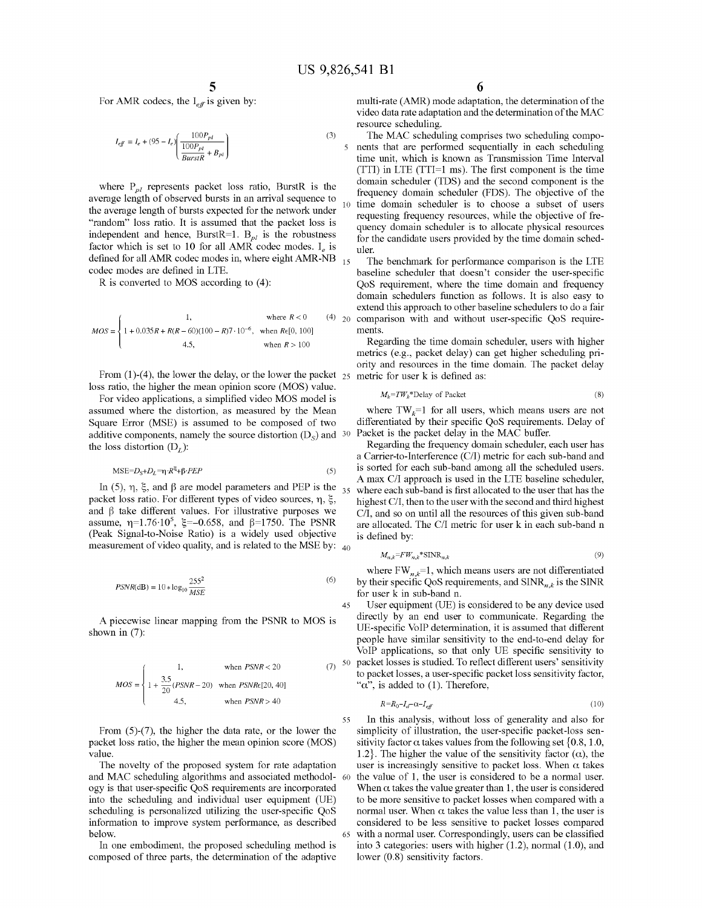5

For AMR codecs, the  $I_{\text{eff}}$  is given by:

$$
I_{\text{eff}} = I_e + (95 - I_e) \left( \frac{100 P_{pl}}{100 P_{pl}} \right) \tag{3}
$$

where  $P_{pl}$  represents packet loss ratio, BurstR is the average length of observed bursts in an arrival sequence to the average length of bursts expected for the network under "random" loss ratio. It is assumed that the packet loss is independent and hence, BurstR=1.  $B_{pl}$  is the robustness factor which is set to 10 for all AMR codec modes.  $I_e$  is defined for all AMR codec modes in, where eight AMR-NB  $_{15}$ codec modes are defined in LTE.

 $R$  is converted to MOS according to  $(4)$ :

$$
MOS = \begin{cases} 1, & \text{where } R < 0 \\ 1 + 0.035R + R(R - 60)(100 - R)7 \cdot 10^{-6}, & \text{when } R \in [0, 100] \\ 4.5, & \text{when } R > 100 \end{cases}
$$

From  $(1)-(4)$ , the lower the delay, or the lower the packet  $25$  metric for user k is defined as: loss ratio, the higher the mean opinion score (MOS) value.

additive components, namely the source distortion  $(D_s)$  and 30 Packet is the packet delay in the MAC buffer. For video applications, a simplified video MOS model is assumed where the distortion, as measured by the Mean Square Error (MSE) is assumed to be composed of two the loss distortion  $(D<sub>r</sub>)$ :

$$
MSE = D_S + D_L = \eta \cdot R^{\xi} + \beta \cdot PEP \tag{5}
$$

In (5),  $\eta$ ,  $\xi$ , and  $\beta$  are model parameters and PEP is the 35 packet loss ratio. For different types of video sources,  $\eta$ ,  $\xi$ , and  $\beta$  take different values. For illustrative purposes we assume,  $\eta$ =1.76·10<sup>5</sup>,  $\xi$ =-0.658, and  $\beta$ =1750. The PSNR (Peak Signal-to-Noise Ratio) is a widely used objective measurement of video quality, and is related to the MSE by:  $_{40}$ 

$$
PSNR(\text{dB}) = 10 * \log_{10} \frac{255^2}{MSE} \tag{6}
$$

A piecewise linear mapping from the PSNR to MOS is shown in (7):

$$
MOS = \begin{cases} 1, & \text{when } PSNR < 20 \ (7) \\ 1 + \frac{3.5}{20} (PSNR - 20) & \text{when } PSNR \in [20, 40] \\ 4.5, & \text{when } PSNR > 40 \end{cases}
$$

From (5)-(7), the higher the data rate, or the lower the packet loss ratio, the higher the mean opinion score (MOS) value.

The novelty of the proposed system for rate adaptation and MAC scheduling algorithms and associated methodology is that user-specific QoS requirements are incorporated into the scheduling and individual user equipment (UE) scheduling is personalized utilizing the user-specific QoS information to improve system performance, as described below.

In one embodiment, the proposed scheduling method is composed of three parts, the determination of the adaptive

multi-rate (AMR) mode adaptation, the determination of the video data rate adaptation and the determination of the MAC resource scheduling.

The MAC scheduling comprises two scheduling components that are performed sequentially in each scheduling time unit, which is known as Transmission Time Interval (TTl) in LTE (TTI=1 ms). The first component is the time domain scheduler (TDS) and the second component is the frequency domain scheduler (FDS). The objective of the <sup>10</sup> time domain scheduler is to choose a subset of users requesting frequency resources, while the objective of frequency domain scheduler is to allocate physical resources for the candidate users provided by the time domain scheduler.

The benchmark for performance comparison is the LTE baseline scheduler that doesn't consider the user-specific QoS requirement, where the time domain and frequency domain schedulers function as follows. It is also easy to extend this approach to other baseline schedulers to do a fair  $(4)$  20 comparison with and without user-specific QoS requirements.

Regarding the time domain scheduler, users with higher metrics (e.g., packet delay) can get higher scheduling priority and resources in the time domain. The packet delay

$$
M_k = TW_k^* \text{Delay of Packet} \tag{8}
$$

where  $TW_k=1$  for all users, which means users are not differentiated by their specific QoS requirements. Delay of

Regarding the frequency domain scheduler, each user has a Carrier-to-Interference (C/I) metric for each sub-band and is sorted for each sub-band among all the scheduled users. A max CII approach is used in the LTE baseline scheduler, where each sub-band is first allocated to the user that has the highest CII, then to the user with the second and third highest C/I, and so on until all the resources of this given sub-band are allocated. The CII metric for user k in each sub-band n is defined by:

$$
M_{n,k} = F W_{n,k}^* \text{SINR}_{n,k} \tag{9}
$$

where  $FW_{n,k}=1$ , which means users are not differentiated by their specific QoS requirements, and  $SINR_{n,k}$  is the SINR for user k in sub-band n.

45  $(7)$  50 packet losses is studied. To reflect different users' sensitivity User equipment (DE) is considered to be any device used directly by an end user to communicate. Regarding the UE-specific VoIP determination, it is assumed that different people have similar sensitivity to the end-to-end delay for VoIP applications, so that only UE specific sensitivity to to packet losses, a user-specific packet loss sensitivity factor, " $\alpha$ ", is added to (1). Therefore,

$$
R = R_0 - I_d - \alpha - I_{\text{eff}} \tag{10}
$$

55 In this analysis, without loss of generality and also for simplicity of illustration, the user-specific packet-loss sensitivity factor  $\alpha$  takes values from the following set {0.8, 1.0, 1.2. The higher the value of the sensitivity factor  $(\alpha)$ , the user is increasingly sensitive to packet loss. When  $\alpha$  takes the value of 1, the user is considered to be a normal user. When  $\alpha$  takes the value greater than 1, the user is considered to be more sensitive to packet losses when compared with a normal user. When  $\alpha$  takes the value less than 1, the user is considered to be less sensitive to packet losses compared 65 with a normal user. Correspondingly, users can be classified into 3 categories: users with higher (1.2), normal (1.0), and lower (0.8) sensitivity factors.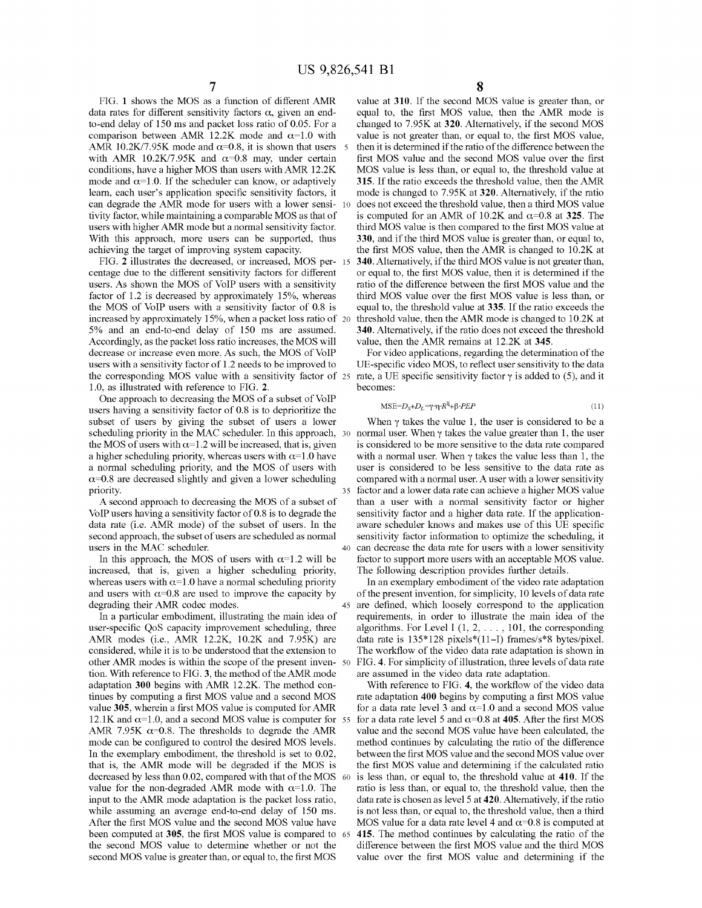FIG. 1 shows the MOS as a function of different AMR data rates for different sensitivity factors  $\alpha$ , given an endto-end delay of 150 ms and packet loss ratio of 0.05. For a comparison between AMR 12.2K mode and  $\alpha$ =1.0 with AMR 10.2K/7.95K mode and  $\alpha$ =0.8, it is shown that users 5 with AMR 10.2K/7.95K and  $\alpha$ =0.8 may, under certain conditions, have a higher MOS than users withAMR 12.2K mode and  $\alpha$ =1.0. If the scheduler can know, or adaptively leam, each user's application specific sensitivity factors, it can degrade the AMR mode for users with a lower sensi- 10 tivity factor, while maintaining a comparable MOS as that of users with higher AMR mode but a normal sensitivity factor. With this approach, more users can be supported, thus achieving the target of improving system capacity.

FIG. 2 illustrates the decreased, or increased, MOS per- 15 centage due to the different sensitivity factors for different users. As shown the MOS of VoIP users with a sensitivity factor of 1.2 is decreased by approximately 15%, whereas the MOS of VoIP users with a sensitivity factor of 0.8 is increased by approximately 15%, when a packet loss ratio of <sup>20</sup> 5% and an end-to-end delay of 150 ms are assumed. Accordingly, as the packet loss ratio increases, the MOS will decrease or increase even more. As such, the MOS of VoIP users with a sensitivity factor of 1.2 needs to be improved to the corresponding MOS value with a sensitivity factor of <sup>25</sup> 1.0, as illustrated with reference to FIG. 2.

One approach to decreasing the MOS of a subset of VoIP users having a sensitivity factor of 0.8 is to deprioritize the subset of users by giving the subset of users a lower When  $\gamma$  takes the value 1, the user is considered to be a scheduling priority in the MAC scheduler. In this approach, 30 normal user. When  $\gamma$  takes the value greater than 1, the user the MOS of users with  $\alpha=1.2$  will be increased, that is, given is considered to be more sensitive to the data rate compared a higher scheduling priority, whereas users with  $\alpha$ =1.0 have with a normal user. When  $\gamma$  takes the value less than 1, the a normal scheduling priority, and the MOS of users with user is considered to be less sensitive a normal scheduling priority, and the MOS of users with  $\alpha$ =0.8 are decreased slightly and given a lower scheduling compared with a normal user. A user with a lower sensitivity priority. 35 factor and a lower data rate can achieve a higher MOS value

VoIP users having a sensitivity factor of 0.8 is to degrade the sensitivity factor and a higher data rate. If the application-<br>data rate (i.e. AMR mode) of the subset of users. In the aware scheduler knows and makes use of second approach, the subset of users are scheduled as normal sensitivity factor information to optimize the scheduling, it

increased, that is, given a higher scheduling priority, The following description provides further details. whereas users with  $\alpha=1.0$  have a normal scheduling priority In an exemplary embodiment of the video rate adaptation and users with  $\alpha$ =0.8 are used to improve the capacity by of the present invention, for simplicity, 10 levels of data rate

user-specific QoS capacity improvement scheduling, three algorithms. For Level I  $(1, 2, \ldots, 101)$ , the corresponding AMR modes (i.e., AMR 12.2K, 10.2K and 7.95K) are data rate is  $135*128$  pixels $*(11-I)$  frames/s\*8 bytes/ considered, while it is to be understood that the extension to The workflow of the video data rate adaptation is shown in other AMR modes is within the scope of the present inven- 50 FIG. 4. For simplicity of illustration, three levels of data rate tion. With reference to FIG. 3, the method of the AMR mode are assumed in the video data rate a tion. With reference to FIG. 3, the method of the AMR mode adaptation 300 begins with AMR 12.2K. The method con- With reference to FIG. 4, the workflow of the video data tinues by computing a first MOS value and a second MOS rate adaptation 400 begins by computing a first MOS value value 305, wherein a first MOS value is computed for AMR for a data rate level 3 and  $\alpha$ =1.0 and a second MOS value 12.1K and  $\alpha$ =1.0, and a second MOS value is computer for 55 for a data rate level 5 and  $\alpha$ =0.8 at 405. After the first MOS AMR 7.95K  $\alpha$ =0.8. The thresholds to degrade the AMR value and the second MOS value have been calculated, the mode can be configured to control the desired MOS levels. method continues by calculating the ratio of the difference In the exemplary embodiment, the threshold is set to 0.02, between the first MOS value and the second MOS value over that is, the AMR mode will be degraded if the MOS is the first MOS value and determining if the calculated ratio decreased by less than 0.02, compared with that of the MOS 60 is less than, or equal to, the threshold value at 410. If the value for the non-degraded AMR mode with  $\alpha$ =1.0. The ratio is less than, or equal to, the thres input to the AMR mode adaptation is the packet loss ratio, data rate is chosen as level 5 at 420. Alternatively, if the ratio while assuming an average end-to-end delay of 150 ms. is not less than, or equal to, the threshold value, then a third After the first MOS value and the second MOS value have MOS value for a data rate level 4 and  $\alpha$ =0.8 is computed at been computed at 305, the first MOS value is compared to <sup>65</sup> 415. The method continues by calculating the ratio of the the second MOS value to determine whether or not the difference between the first MOS value and the third MOS second MOS value is greater than, or equal to, the first MOS value over the first MOS value and determining if the

8

value at 310. If the second MOS value is greater than, or equal to, the first MOS value, then the AMR mode is changed to 7.95K at 320. Alternatively, if the second MOS value is not greater than, or equal to, the first MOS value, then it is determined if the ratio of the difference between the first MOS value and the second MOS value over the first MOS value is less than, or equal to, the threshold value at 315. If the ratio exceeds the threshold value, then the AMR mode is changed to 7.95K at 320. Alternatively, if the ratio does not exceed the threshold value, then a third MOS value is computed for an AMR of 10.2K and  $\alpha$ =0.8 at 325. The third MOS value is then compared to the first MOS value at 330, and if the third MOS value is greater than, or equal to, the first MOS value, then the AMR is changed to 1O.2K at 340. Alternatively, if the third MOS value is not greater than, or equal to, the first MOS value, then it is determined if the ratio of the difference between the first MOS value and the third MOS value over the first MOS value is less than, or equal to, the threshold value at 335. If the ratio exceeds the threshold value, then the AMR mode is changed to I0.2K at 340. Alternatively, if the ratio does not exceed the threshold value, then the AMR remains at 12.2K at 345.

For video applications, regarding the determination of the DE-specific video MOS, to reflect user sensitivity to the data rate, a UE specific sensitivity factor  $\gamma$  is added to (5), and it becomes:

 $MSE=D_S+D_L=\gamma \cdot \eta \cdot R^{\xi}+\beta \cdot PEP$ (11)

A second approach to decreasing the MOS of a subset of than a user with a normal sensitivity factor or higher aware scheduler knows and makes use of this UE specific users in the MAC scheduler. 40 can decrease the data rate for users with a lower sensitivity In this approach, the MOS of users with  $\alpha=1.2$  will be factor to support more users with an acceptable MOS value.

degrading their AMR codec modes. 45 are defined, which loosely correspond to the application In a particular embodiment, illustrating the main idea of requirements, in order to illustrate the main idea of the data rate is 135\*128 pixels\*(11-I) frames/s\*8 bytes/pixel.

ratio is less than, or equal to, the threshold value, then the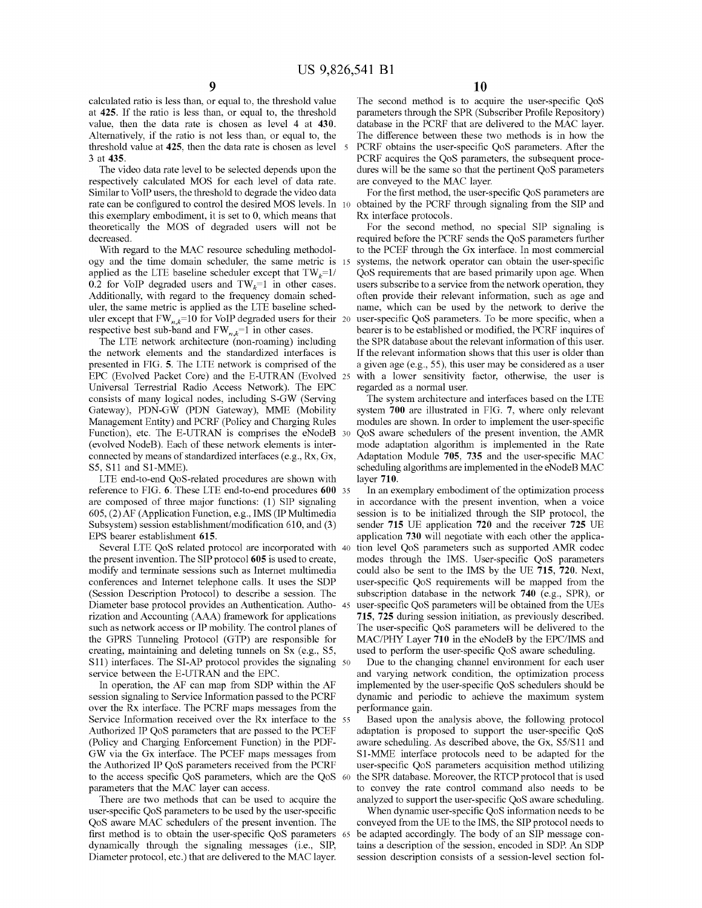calculated ratio is less than, or equal to, the threshold value at 425. If the ratio is less than, or equal to, the threshold value, then the data rate is chosen as level 4 at 430. Alternatively, if the ratio is not less than, or equal to, the threshold value at 425, then the data rate is chosen as level 5 3 at 435.

The video data rate level to be selected depends upon the respectively calculated MOS for each level of data rate. Similar to VoIP users, the threshold to degrade the video data rate can be configured to control the desired MOS levels. In 10 this exemplary embodiment, it is set to 0, which means that theoretically the MOS of degraded users will not be decreased.

With regard to the MAC resource scheduling methodology and the time domain scheduler, the same metric is 15 applied as the LTE baseline scheduler except that  $TW_k=1/$ 0.2 for VoIP degraded users and  $TW_k=1$  in other cases. Additionally, with regard to the frequency domain scheduler, the same metric is applied as the LTE baseline scheduler except that  $FW_{n,k}=10$  for VoIP degraded users for their 20 respective best sub-band and  $FW_{n,k}=1$  in other cases.

The LTE network architecture (non-roaming) including the network elements and the standardized interfaces is presented in FIG. 5. The LTE network is comprised of the EPC (Evolved Packet Core) and the E-UTRAN (Evolved 25 Universal Terrestrial Radio Access Network). The EPC consists of many logical nodes, including S-GW (Serving Gateway), PDN-GW (PDN Gateway), MME (Mobility Management Entity) and PCRF (Policy and Charging Rules Function), etc. The E-UTRAN is comprises the eNodeB 30 (evolved NodeB). Each of these network elements is interconnected by means of standardized interfaces (e.g., Rx, Gx, SS, Sll and Sl-MME).

LTE end-to-end QoS-related procedures are shown with reference to FIG. 6. These LTE end-to-end procedures 600 35 are composed of three major functions: (I) SIP signaling *60S,* (2) AF (Application Function, e.g., IMS (IP Multimedia Subsystem) session establishment/modification 610, and (3) EPS bearer establishment 615.

Several LTE QoS related protocol are incorporated with 40 the present invention. The SIP protocol 605 is used to create, modifY and terminate sessions such as Internet multimedia conferences and Internet telephone calls. It uses the SDP (Session Description Protocol) to describe a session. The Diameter base protocol provides an Authentication. Autho- 45 rization and Accounting (AAA) framework for applications such as network access or IP mobility. The control planes of the GPRS Tunneling Protocol (GTP) are responsible for creating, maintaining and deleting tunnels on Sx (e.g., SS, S11) interfaces. The SI-AP protocol provides the signaling 50 service between the E-UTRAN and the EPC.

In operation, the AF can map from SDP within the AF session signaling to Service Information passed to the PCRF over the Rx interface. The PCRF maps messages from the Service Information received over the Rx interface to the 55 Authorized IP QoS parameters that are passed to the PCEF (Policy and Charging Enforcement Function) in the PDF-GW via the Gx interface. The PCEF maps messages from the Authorized IP QoS parameters received from the PCRF to the access specific QoS parameters, which are the QoS 60 parameters that the MAC layer can access.

There are two methods that can be used to acquire the user-specific QoS parameters to be used by the user-specific QoS aware MAC schedulers of the present invention. The first method is to obtain the user-specific QoS parameters 65 dynamically through the signaling messages (i.e., SIP, Diameter protocol, etc.) that are delivered to the MAC layer.

The second method is to acquire the user-specific QoS parameters through the SPR (Subscriber Profile Repository) database in the PCRF that are delivered to the MAC layer. The difference between these two methods is in how the PCRF obtains the user-specific QoS parameters. After the PCRF acquires the QoS parameters, the subsequent procedures will be the same so that the pertinent QoS parameters are conveyed to the MAC layer.

For the first method, the user-specific QoS parameters are obtained by the PCRF through signaling from the SIP and Rx interface protocols.

For the second method, no special SIP signaling is required before the PCRF sends the QoS parameters further to the PCEF through the Gx interface. In most commercial systems, the network operator can obtain the user-specific QoS requirements that are based primarily upon age. When users subscribe to a service from the network operation, they often provide their relevant information, such as age and name, which can be used by the network to derive the user-specific QoS parameters. To be more specific, when a bearer is to be established or modified, the PCRF inquires of the SPR database about the relevant information of this user. If the relevant information shows that this user is older than a given age (e.g., *SS),* this user may be considered as a user with a lower sensitivity factor, otherwise, the user is regarded as a normal user.

The system architecture and interfaces based on the LTE system 700 are illustrated in FIG. 7, where only relevant modules are shown. In order to implement the user-specific QoS aware schedulers of the present invention, the AMR mode adaptation algorithm is implemented in the Rate Adaptation Module 705, 735 and the user-specific MAC scheduling algorithms are implemented in the eNodeB MAC layer 710.

In an exemplary embodiment of the optimization process in accordance with the present invention, when a voice session is to be initialized through the SIP protocol, the sender 715 UE application 720 and the receiver 725 UE application 730 will negotiate with each other the application level QoS parameters such as supported AMR codec modes through the IMS. User-specific QoS parameters could also be sent to the IMS by the UE 715, 720. Next, user-specific QoS requirements will be mapped from the subscription database in the network 740 (e.g., SPR), or user-specific QoS parameters will be obtained from the UEs 715, 725 during session initiation, as previously described. The user-specific QoS parameters will be delivered to the MAC/PRY Layer 710 in the eNodeB by the EPC/IMS and used to perform the user-specific QoS aware scheduling.

Due to the changing channel environment for each user and varying network condition, the optimization process implemented by the user-specific QoS schedulers should be dynamic and periodic to achieve the maximum system performance gain.

Based upon the analysis above, the following protocol adaptation is proposed to support the user-specific QoS aware scheduling. As described above, the Gx, SS/Sll and Sl-MME interface protocols need to be adapted for the user-specific QoS parameters acquisition method utilizing the SPR database. Moreover, the RTCP protocol that is used to convey the rate control command also needs to be analyzed to support the user-specific QoS aware scheduling.

When dynamic user-specific QoS information needs to be conveyed from the UE to the IMS, the SIP protocol needs to be adapted accordingly. The body of an SIP message contains a description of the session, encoded in SDP. An SDP session description consists of a session-level section fol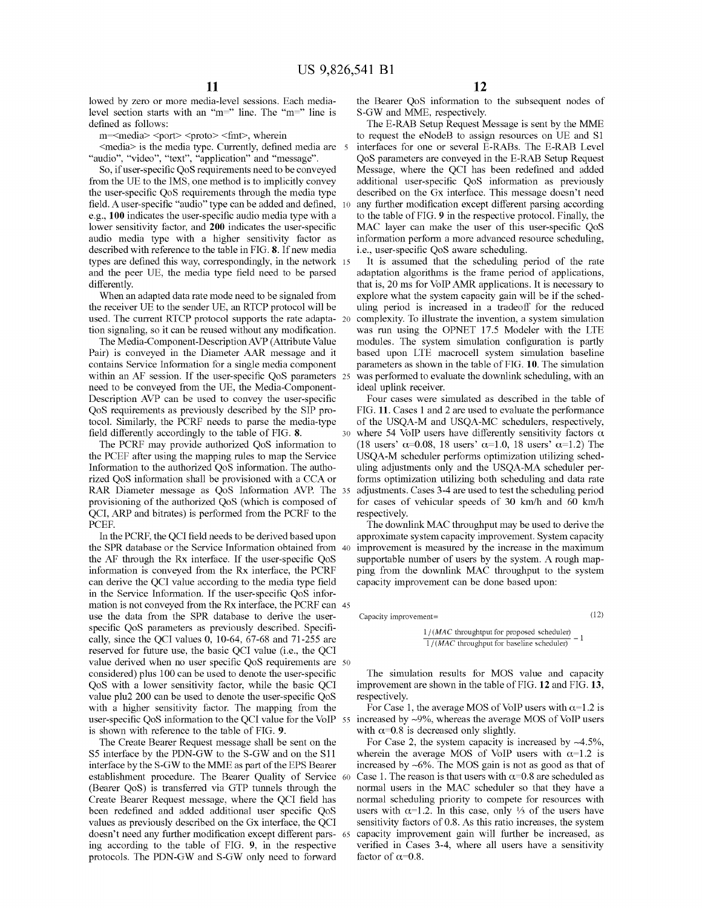lowed by zero or more media-level sessions. Each medialevel section starts with an "m=" line. The "m=" line is defined as follows:

m=<media> <port> <proto> <fmt>, wherein

 $\leq$ media $>$  is the media type. Currently, defined media are  $5$ "audio", "video", "text", "application" and "message".

So, ifuser-specific QoS requirements need to be conveyed from the UE to the IMS, one method is to implicitly convey the user-specific QoS requirements through the media type field. A user-specific "audio" type can be added and defined, 10 e.g., **100** indicates the user-specific audio media type with a lower sensitivity factor, and **200** indicates the user-specific audio media type with a higher sensitivity factor as described with reference to the table in FIG. 8. If new media types are defined this way, correspondingly, in the network 15 and the peer UE, the media type field need to be parsed differently.

When an adapted data rate mode need to be signaled from the receiver UE to the sender UE, an RTCP protocol will be used. The current RTCP protocol supports the rate adapta- 20 tion signaling, so it can be reused without any modification.

The Media-Component-DescriptionAVP (Attribute Value Pair) is conveyed in the Diameter AAR message and it contains Service Information for a single media component within an AF session. If the user-specific QoS parameters <sup>25</sup> need to be conveyed from the UE, the Media-Component-Description AVP can be used to convey the user-specific QoS requirements as previously described by the SIP protocol. Similarly, the PCRF needs to parse the media-type field differently accordingly to the table of FIG. 8.

The PCRF may provide authorized QoS information to the PCEF after using the mapping rules to map the Service Information to the authorized QoS information. The authorized QoS information shall be provisioned with a CCA or RAR Diameter message as QoS Information AVP. The 35 provisioning of the authorized QoS (which is composed of QCI, ARP and bitrates) is performed from the PCRF to the PCEF.

user-specific QoS information to the QCI value for the VoIP 55 increased by ~9%, whereas the average MOS of VoIP users In the PCRF, the QCI field needs to be derived based upon the SPR database or the Service Information obtained from 40 the AF through the Rx interface. If the user-specific QoS information is conveyed from the Rx interface, the PCRF can derive the QCI value according to the media type field in the Service Information. If the user-specific QoS information is not conveyed from the Rx interface, the PCRF can 45 use the data from the SPR database to derive the userspecific QoS parameters as previously described. Specifically, since the QCI values 0, 10-64, 67-68 and 71-255 are reserved for future use, the basic QCI value (i.e., the QCI value derived when no user specific QoS requirements are 50 considered) plus 100 can be used to denote the user-specific QoS with a lower sensitivity factor, while the basic QCI value plu2 200 can be used to denote the user-specific QoS with a higher sensitivity factor. The mapping from the is shown with reference to the table of FIG. 9.

The Create Bearer Request message shall be sent on the S5 interface by the PDN-GW to the S-GW and on the Sll interface by the S-GW to the MME as part of the EPS Bearer establishment procedure. The Bearer Quality of Service <sup>60</sup> (Bearer QoS) is transferred via GTP tunnels through the Create Bearer Request message, where the QCI field has been redefined and added additional user specific QoS values as previously described on the Gx interface, the QCI doesn't need any further modification except different pars- 65 ing according to the table of FIG. 9, in the respective protocols. The PDN-GW and S-GW only need to forward

the Bearer QoS information to the subsequent nodes of S-GW and MME, respectively.

The E-RAB Setup Request Message is sent by the MME to request the eNodeB to assign resources on UE and SI interfaces for one or several E-RABs. The E-RAB Level QoS parameters are conveyed in the E-RAB Setup Request Message, where the QCI has been redefined and added additional user-specific QoS information as previously described on the Gx interface. This message doesn't need any further modification except different parsing according to the table of FIG. 9 in the respective protocol. Finally, the MAC layer can make the user of this user-specific QoS information perform a more advanced resource scheduling, i.e., user-specific QoS aware scheduling.

It is assumed that the scheduling period of the rate adaptation algorithms is the frame period of applications, that is, 20 ms for VoIP AMR applications. It is necessary to explore what the system capacity gain will be if the scheduling period is increased in a tradeoff for the reduced complexity. To illustrate the invention, a system simulation was run using the OPNET 17.5 Modeler with the LTE modules. The system simulation configuration is partly based upon LTE macrocell system simulation baseline parameters as shown in the table of FIG. 10. The simulation was performed to evaluate the downlink scheduling, with an ideal uplink receiver.

Four cases were simulated as described in the table of FIG. 11. Cases I and 2 are used to evaluate the performance of the USQA-M and USQA-MC schedulers, respectively, where 54 VoIP users have differently sensitivity factors  $\alpha$ (18 users'  $\alpha$ =0.08, 18 users'  $\alpha$ =1.0, 18 users'  $\alpha$ =1.2) The USQA-M scheduler performs optimization utilizing scheduling adjustments only and the USQA-MA scheduler performs optimization utilizing both scheduling and data rate adjustments. Cases 3-4 are used to test the scheduling period for cases of vehicular speeds of 30 km/h and 60 km/h respectively.

The downlink MAC throughput may be used to derive the approximate system capacity improvement. System capacity improvement is measured by the increase in the maximum supportable number of users by the system. A rough mapping from the downlink MAC throughput to the system capacity improvement can be done based upon:

Capacity improvement=

(12)

 $\frac{1/(MAC \text{ throughout for proposed scheduler})}{1/(MAC \text{ throughout for proposed scheduler})}$ *1/(MAC* throughput for baseline scheduler)

The simulation results for MOS value and capacity improvement are shown in the table of FIG. **12** and FIG. 13, respectively.

For Case 1, the average MOS of VoIP users with  $\alpha$ =1.2 is with  $\alpha$ =0.8 is decreased only slightly.

For Case 2, the system capacity is increased by  $\sim$ 4.5%, wherein the average MOS of VoIP users with  $\alpha=1.2$  is increased by -6%. The MOS gain is not as good as that of Case 1. The reason is that users with  $\alpha$ =0.8 are scheduled as normal users in the MAC scheduler so that they have a normal scheduling priority to compete for resources with users with  $\alpha$ =1.2. In this case, only  $\frac{1}{3}$  of the users have sensitivity factors of 0.8. As this ratio increases, the system capacity improvement gain will further be increased, as verified in Cases 3-4, where all users have a sensitivity factor of  $\alpha$ =0.8.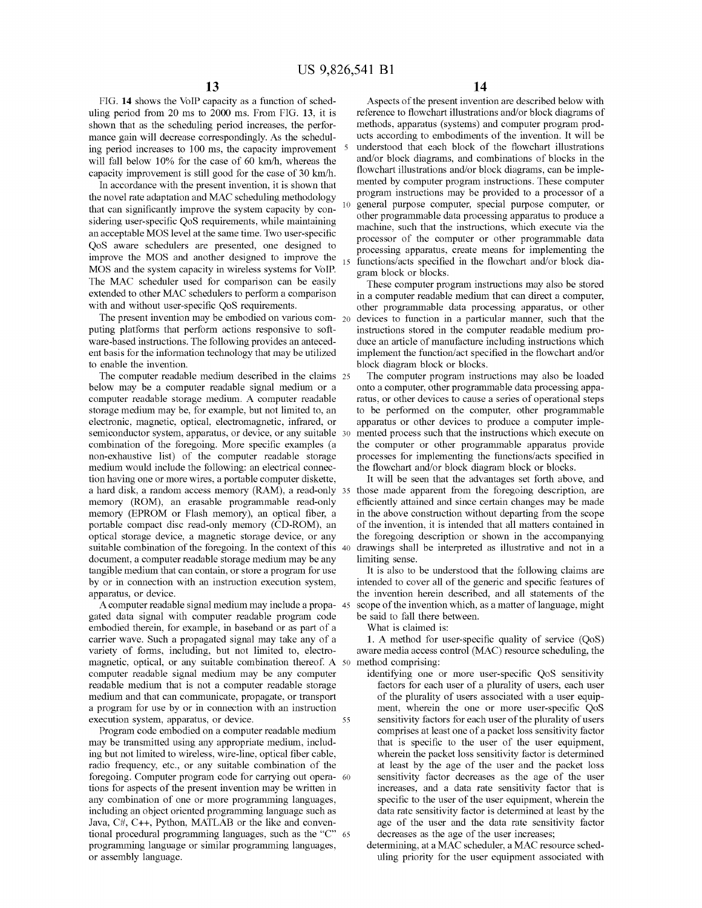FIG. **14** shows the VoIP capacity as a function of scheduling period from 20 ms to 2000 ms. From FIG. 13, it is shown that as the scheduling period increases, the performance gain will decrease correspondingly. As the scheduling period increases to 100 ms, the capacity improvement will fall below 10% for the case of 60 km/h, whereas the capacity improvement is still good for the case of 30 km/h.

In accordance with the present invention, it is shown that the novel rate adaptation and MAC scheduling methodology that can significantly improve the system capacity by considering user-specific QoS requirements, while maintaining an acceptable MOS level at the same time. Two user-specific QoS aware schedulers are presented, one designed to improve the MOS and another designed to improve the MOS and the system capacity in wireless systems for VoIP. The MAC scheduler used for comparison can be easily extended to other MAC schedulers to perform a comparison with and without user-specific QoS requirements.

The present invention may be embodied on various com- $_{20}$ puting platforms that perform actions responsive to software-based instructions. The following provides an antecedent basis for the information technology that may be utilized to enable the invention.

The computer readable medium described in the claims 25 below may be a computer readable signal medium or a computer readable storage medium. A computer readable storage medium may be, for example, but not limited to, an electronic, magnetic, optical, electromagnetic, infrared, or semiconductor system, apparatus, or device, or any suitable 30 combination of the foregoing. More specific examples (a non-exhaustive list) of the computer readable storage medium would include the following: an electrical connection having one or more wires, a portable computer diskette, a hard disk, a random access memory (RAM), a read-only 35 memory (ROM), an erasable programmable read-only memory (EPROM or Flash memory), an optical fiber, a portable compact disc read-only memory (CD-ROM), an optical storage device, a magnetic storage device, or any suitable combination of the foregoing. In the context of this 40 document, a computer readable storage medium may be any tangible medium that can contain, or store a program for use by or in connection with an instruction execution system, apparatus, or device.

A computer readable signal medium may include a propa- 45 gated data signal with computer readable program code embodied therein, for example, in baseband or as part of a carrier wave. Such a propagated signal may take any of a variety of forms, including, but not limited to, electromagnetic, optical, or any suitable combination thereof. A 50 method comprising: computer readable signal medium may be any computer readable medium that is not a computer readable storage medium and that can communicate, propagate, or transport a program for use by or in connection with an instruction execution system, apparatus, or device. 55

Program code embodied on a computer readable medium may be transmitted using any appropriate medium, including but not limited to wireless, wire-line, optical fiber cable, radio frequency, etc., or any suitable combination of the foregoing. Computer program code for carrying out opera- 60 tions for aspects of the present invention may be written in any combination of one or more programming languages, including an object oriented programming language such as Java, C#, C++, Python, MATLAB or the like and conventional procedural programming languages, such as the "C" 65 programming language or similar programming languages, or assembly language.

Aspects of the present invention are described below with reference to flowchart illustrations and/or block diagrams of methods, apparatus (systems) and computer program products according to embodiments of the invention. It will be understood that each block of the flowchart illustrations and/or block diagrams, and combinations of blocks in the flowchart illustrations and/or block diagrams, can be implemented by computer program instructions. These computer program instructions may be provided to a processor of a general purpose computer, special purpose computer, or other programmable data processing apparatus to produce a machine, such that the instructions, which execute via the processor of the computer or other programmable data processing apparatus, create means for implementing the functions/acts specified in the flowchart and/or block diagram block or blocks.

These computer program instructions may also be stored in a computer readable medium that can direct a computer, other programmable data processing apparatus, or other devices to function in a particular manner, such that the instructions stored in the computer readable medium produce an article of manufacture including instructions which implement the function/act specified in the flowchart and/or block diagram block or blocks.

The computer program instructions may also be loaded onto a computer, other programmable data processing apparatus, or other devices to cause a series of operational steps to be performed on the computer, other programmable apparatus or other devices to produce a computer implemented process such that the instructions which execute on the computer or other programmable apparatus provide processes for implementing the functions/acts specified in the flowchart and/or block diagram block or blocks.

It will be seen that the advantages set forth above, and those made apparent from the foregoing description, are efficiently attained and since certain changes may be made in the above construction without departing from the scope of the invention, it is intended that all matters contained in the foregoing description or shown in the accompanying drawings shall be interpreted as illustrative and not in a limiting sense.

It is also to be understood that the following claims are intended to cover all of the generic and specific features of the invention herein described, and all statements of the scope of the invention which, as a matter of language, might be said to fall there between.

What is claimed is:

1. A method for user-specific quality of service (QoS) aware media access control (MAC) resource scheduling, the

- identifying one or more user-specific QoS sensitivity factors for each user of a plurality of users, each user of the plurality of users associated with a user equipment, wherein the one or more user-specific QoS sensitivity factors for each user of the plurality of users comprises at least one of a packet loss sensitivity factor that is specific to the user of the user equipment, wherein the packet loss sensitivity factor is determined at least by the age of the user and the packet loss sensitivity factor decreases as the age of the user increases, and a data rate sensitivity factor that is specific to the user of the user equipment, wherein the data rate sensitivity factor is determined at least by the age of the user and the data rate sensitivity factor decreases as the age of the user increases;
- determining, at a MAC scheduler, a MAC resource scheduling priority for the user equipment associated with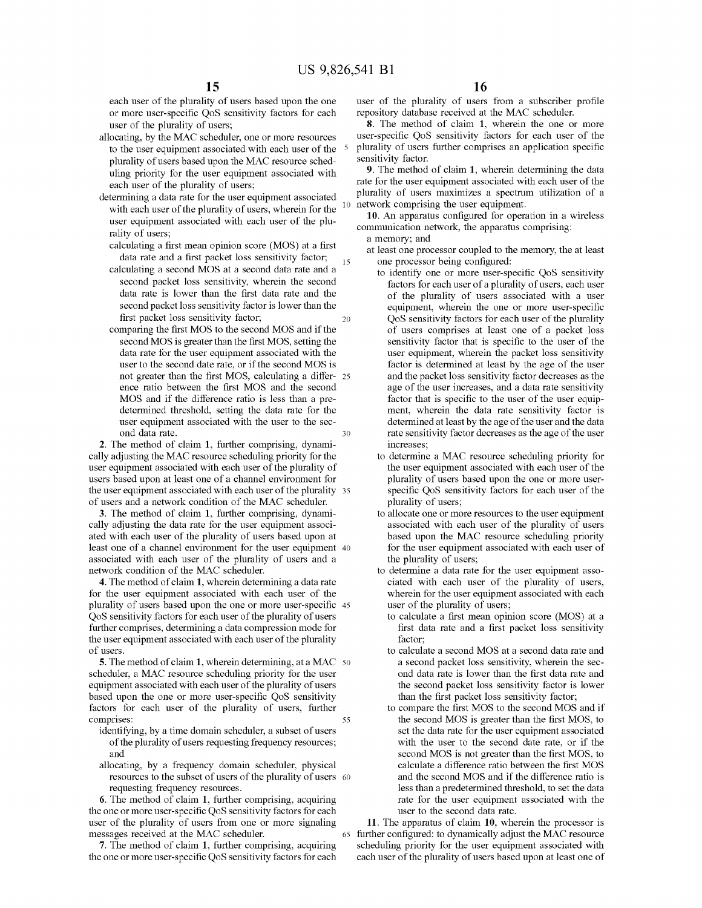each user of the plurality of users based upon the one or more user-specific QoS sensitivity factors for each user of the plurality of users;

allocating, by the MAC scheduler, one or more resources to the user equipment associated with each user of the <sup>5</sup> plurality of users based upon the MAC resource scheduling priority for the user equipment associated with each user of the plurality of users;

determining a data rate for the user equipment associated with each user of the plurality of users, wherein for the user equipment associated with each user of the plurality of users;

15 calculating a first mean opinion score (MOS) at a first data rate and a first packet loss sensitivity factor;

20 calculating a second MOS at a second data rate and a second packet loss sensitivity, wherein the second data rate is lower than the first data rate and the second packet loss sensitivity factor is lower than the first packet loss sensitivity factor;

30 comparing the first MOS to the second MOS and if the second MOS is greater than the first MOS, setting the data rate for the user equipment associated with the user to the second date rate, or if the second MOS is not greater than the first MOS, calculating a differ- 25 ence ratio between the first MOS and the second MOS and if the difference ratio is less than a predetennined threshold, setting the data rate for the user equipment associated with the user to the second data rate.

2. The method of claim 1, further comprising, dynamically adjusting the MAC resource scheduling priority for the user equipment associated with each user of the plurality of users based upon at least one of a channel environment for the user equipment associated with each user of the plurality 35 of users and a network condition of the MAC scheduler.

3. The method of claim 1, further comprising, dynamically adjusting the data rate for the user equipment associated with each user of the plurality of users based upon at least one of a channel environment for the user equipment 40 associated with each user of the plurality of users and a network condition of the MAC scheduler.

4. The method of claim 1, wherein detennining a data rate for the user equipment associated with each user of the plurality of users based upon the one or more user-specific <sup>45</sup> QoS sensitivity factors for each user of the plurality of users further comprises, determining a data compression mode for the user equipment associated with each user of the plurality of users.

55 5. The method of claim 1, wherein determining, at a MAC 50 scheduler, a MAC resource scheduling priority for the user equipment associated with each user of the plurality of users based upon the one or more user-specific QoS sensitivity factors for each user of the plurality of users, further comprises:

- identifying, by a time domain scheduler, a subset of users of the plurality of users requesting frequency resources; and
- allocating, by a frequency domain scheduler, physical resources to the subset of users of the plurality of users 60 requesting frequency resources.

6. The method of claim 1, further comprising, acquiring the one or more user-specific QoS sensitivity factors for each user of the plurality of users from one or more signaling messages received at the MAC scheduler.

7. The method of claim 1, further comprising, acquiring the one or more user-specific QoS sensitivity factors for each user of the plurality of users from a subscriber profile repository database received at the MAC scheduler.

8. The method of claim 1, wherein the one or more user-specific QoS sensitivity factors for each user of the plurality of users further comprises an application specific sensitivity factor.

9. The method of claim 1, wherein determining the data rate for the user equipment associated with each user of the plurality of users maximizes a spectrum utilization of a network comprising the user equipment.

10. An apparatus configured for operation in a wireless communication network, the apparatus comprising:

- a memory; and
- at least one processor coupled to the memory, the at least one processor being configured:
	- to identify one or more user-specific QoS sensitivity factors for each user of a plurality of users, each user of the plurality of users associated with a user equipment, wherein the one or more user-specific QoS sensitivity factors for each user of the plurality of users comprises at least one of a packet loss sensitivity factor that is specific to the user of the user equipment, wherein the packet loss sensitivity factor is detennined at least by the age of the user and the packet loss sensitivity factor decreases as the age of the user increases, and a data rate sensitivity factor that is specific to the user of the user equipment, wherein the data rate sensitivity factor is determined at least by the age of the user and the data rate sensitivity factor decreases as the age of the user increases;
	- to determine a MAC resource scheduling priority for the user equipment associated with each user of the plurality of users based upon the one or more userspecific QoS sensitivity factors for each user of the plurality of users;
	- to allocate one or more resources to the user equipment associated with each user of the plurality of users based upon the MAC resource scheduling priority for the user equipment associated with each user of the plurality of users;
	- to detennine a data rate for the user equipment associated with each user of the plurality of users, wherein for the user equipment associated with each user of the plurality of users;
		- to calculate a first mean opinion score (MOS) at a first data rate and a first packet loss sensitivity factor;
		- to calculate a second MOS at a second data rate and a second packet loss sensitivity, wherein the second data rate is lower than the first data rate and the second packet loss sensitivity factor is lower than the first packet loss sensitivity factor;
		- to compare the first MOS to the second MOS and if the second MOS is greater than the first MOS, to set the data rate for the user equipment associated with the user to the second date rate, or if the second MOS is not greater than the first MOS, to calculate a difference ratio between the first MOS and the second MOS and if the difference ratio is less than a predetermined threshold, to set the data rate for the user equipment associated with the user to the second data rate.

11. The apparatus of claim 10, wherein the processor is 65 further configured: to dynamically adjust the MAC resource scheduling priority for the user equipment associated with each user of the plurality of users based upon at least one of